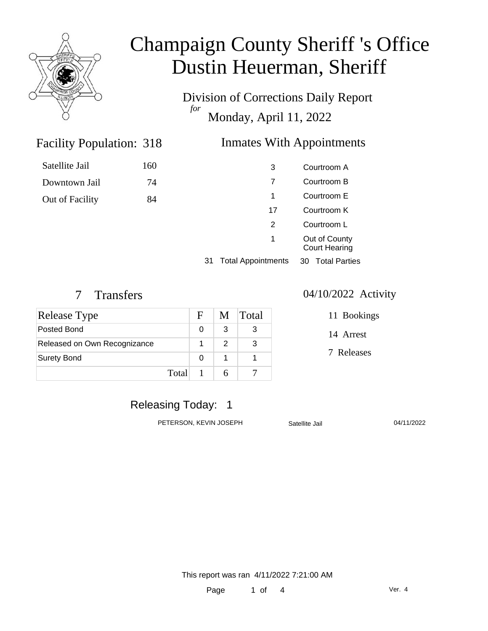

Division of Corrections Daily Report *for* Monday, April 11, 2022

> Courtroom A Courtroom B Courtroom E Courtroom K Courtroom L Out of County

Appointments 30 Total Parties

### Inmates With Appointments

| Satellite Jail  | 160 |  |
|-----------------|-----|--|
| Downtown Jail   | 74  |  |
| Out of Facility | 84  |  |
|                 |     |  |

|  | 31 Total |
|--|----------|

Facility Population: 318

| <b>Release Type</b>          | $\mathbf{F}$ |   | M Total |
|------------------------------|--------------|---|---------|
| Posted Bond                  |              | 3 |         |
| Released on Own Recognizance |              | 2 |         |
| <b>Surety Bond</b>           |              |   |         |
|                              | Total        |   |         |

#### 7 Transfers 04/10/2022 Activity

Court Hearing

| 11 Bookings |
|-------------|
|             |

14 Arrest

7 Releases

### Releasing Today: 1

PETERSON, KEVIN JOSEPH Satellite Jail 64/11/2022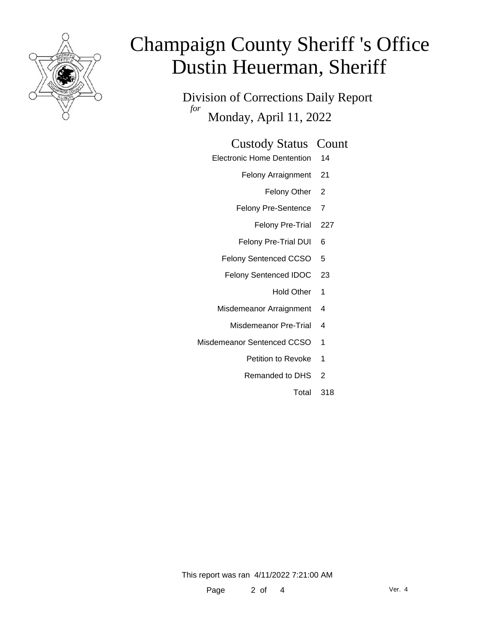

Division of Corrections Daily Report *for* Monday, April 11, 2022

#### Custody Status Count

- Electronic Home Dentention 14
	- Felony Arraignment 21
		- Felony Other 2
	- Felony Pre-Sentence 7
		- Felony Pre-Trial 227
	- Felony Pre-Trial DUI 6
	- Felony Sentenced CCSO 5
	- Felony Sentenced IDOC 23
		- Hold Other 1
	- Misdemeanor Arraignment 4
		- Misdemeanor Pre-Trial 4
- Misdemeanor Sentenced CCSO 1
	- Petition to Revoke 1
	- Remanded to DHS 2
		- Total 318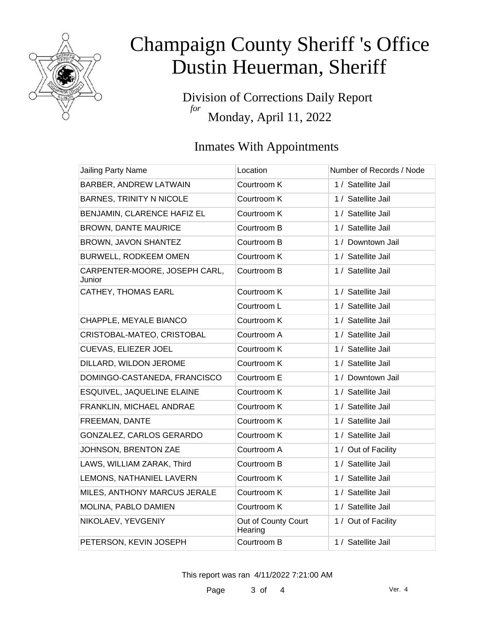

Division of Corrections Daily Report *for* Monday, April 11, 2022

# Inmates With Appointments

| <b>Jailing Party Name</b>               | Location                       | Number of Records / Node |
|-----------------------------------------|--------------------------------|--------------------------|
| BARBER, ANDREW LATWAIN                  | Courtroom K                    | 1 / Satellite Jail       |
| <b>BARNES, TRINITY N NICOLE</b>         | Courtroom K                    | 1 / Satellite Jail       |
| BENJAMIN, CLARENCE HAFIZ EL             | Courtroom K                    | 1 / Satellite Jail       |
| <b>BROWN, DANTE MAURICE</b>             | Courtroom B                    | 1 / Satellite Jail       |
| BROWN, JAVON SHANTEZ                    | Courtroom B                    | 1 / Downtown Jail        |
| BURWELL, RODKEEM OMEN                   | Courtroom K                    | 1 / Satellite Jail       |
| CARPENTER-MOORE, JOSEPH CARL,<br>Junior | Courtroom B                    | 1 / Satellite Jail       |
| CATHEY, THOMAS EARL                     | Courtroom K                    | 1 / Satellite Jail       |
|                                         | Courtroom L                    | 1 / Satellite Jail       |
| CHAPPLE, MEYALE BIANCO                  | Courtroom K                    | 1 / Satellite Jail       |
| CRISTOBAL-MATEO, CRISTOBAL              | Courtroom A                    | 1 / Satellite Jail       |
| CUEVAS, ELIEZER JOEL                    | Courtroom K                    | 1 / Satellite Jail       |
| DILLARD, WILDON JEROME                  | Courtroom K                    | 1 / Satellite Jail       |
| DOMINGO-CASTANEDA, FRANCISCO            | Courtroom E                    | 1 / Downtown Jail        |
| ESQUIVEL, JAQUELINE ELAINE              | Courtroom K                    | 1 / Satellite Jail       |
| FRANKLIN, MICHAEL ANDRAE                | Courtroom K                    | 1 / Satellite Jail       |
| FREEMAN, DANTE                          | Courtroom K                    | 1 / Satellite Jail       |
| GONZALEZ, CARLOS GERARDO                | Courtroom K                    | 1 / Satellite Jail       |
| JOHNSON, BRENTON ZAE                    | Courtroom A                    | 1 / Out of Facility      |
| LAWS, WILLIAM ZARAK, Third              | Courtroom B                    | 1 / Satellite Jail       |
| LEMONS, NATHANIEL LAVERN                | Courtroom K                    | 1 / Satellite Jail       |
| MILES, ANTHONY MARCUS JERALE            | Courtroom K                    | 1 / Satellite Jail       |
| MOLINA, PABLO DAMIEN                    | Courtroom K                    | 1 / Satellite Jail       |
| NIKOLAEV, YEVGENIY                      | Out of County Court<br>Hearing | 1 / Out of Facility      |
| PETERSON, KEVIN JOSEPH                  | Courtroom B                    | 1 / Satellite Jail       |